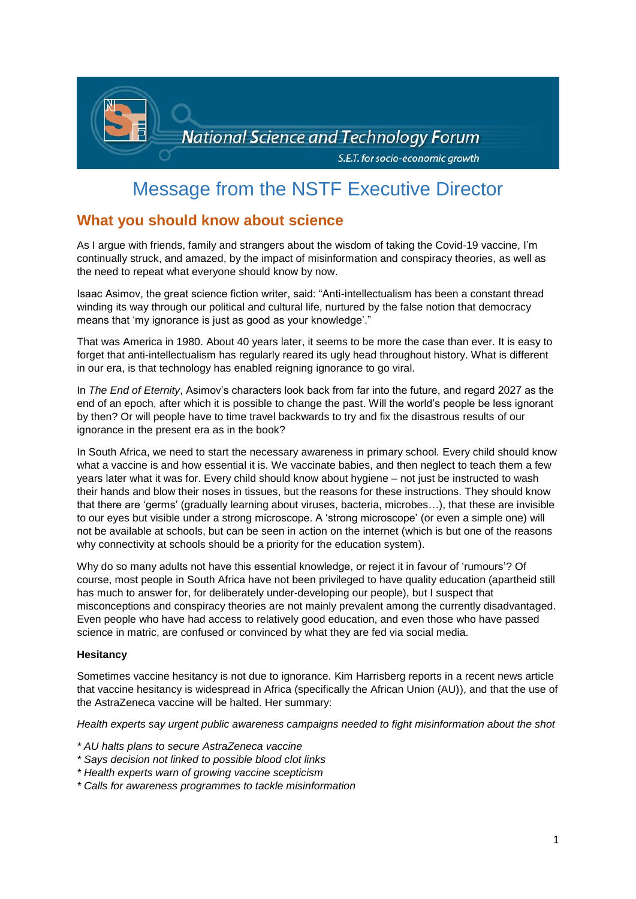

# Message from the NSTF Executive Director

# **What you should know about science**

As I argue with friends, family and strangers about the wisdom of taking the Covid-19 vaccine, I'm continually struck, and amazed, by the impact of misinformation and conspiracy theories, as well as the need to repeat what everyone should know by now.

Isaac Asimov, the great science fiction writer, said: "Anti-intellectualism has been a constant thread winding its way through our political and cultural life, nurtured by the false notion that democracy means that 'my ignorance is just as good as your knowledge'."

That was America in 1980. About 40 years later, it seems to be more the case than ever. It is easy to forget that anti-intellectualism has regularly reared its ugly head throughout history. What is different in our era, is that technology has enabled reigning ignorance to go viral.

In *The End of Eternity*, Asimov's characters look back from far into the future, and regard 2027 as the end of an epoch, after which it is possible to change the past. Will the world's people be less ignorant by then? Or will people have to time travel backwards to try and fix the disastrous results of our ignorance in the present era as in the book?

In South Africa, we need to start the necessary awareness in primary school. Every child should know what a vaccine is and how essential it is. We vaccinate babies, and then neglect to teach them a few years later what it was for. Every child should know about hygiene – not just be instructed to wash their hands and blow their noses in tissues, but the reasons for these instructions. They should know that there are 'germs' (gradually learning about viruses, bacteria, microbes…), that these are invisible to our eyes but visible under a strong microscope. A 'strong microscope' (or even a simple one) will not be available at schools, but can be seen in action on the internet (which is but one of the reasons why connectivity at schools should be a priority for the education system).

Why do so many adults not have this essential knowledge, or reject it in favour of 'rumours'? Of course, most people in South Africa have not been privileged to have quality education (apartheid still has much to answer for, for deliberately under-developing our people), but I suspect that misconceptions and conspiracy theories are not mainly prevalent among the currently disadvantaged. Even people who have had access to relatively good education, and even those who have passed science in matric, are confused or convinced by what they are fed via social media.

### **Hesitancy**

Sometimes vaccine hesitancy is not due to ignorance. Kim Harrisberg reports in a recent news article that vaccine hesitancy is widespread in Africa (specifically the African Union (AU)), and that the use of the AstraZeneca vaccine will be halted. Her summary:

*Health experts say urgent public awareness campaigns needed to fight misinformation about the shot*

- *\* AU halts plans to secure AstraZeneca vaccine*
- *\* Says decision not linked to possible blood clot links*
- *\* Health experts warn of growing vaccine scepticism*
- *\* Calls for awareness programmes to tackle misinformation*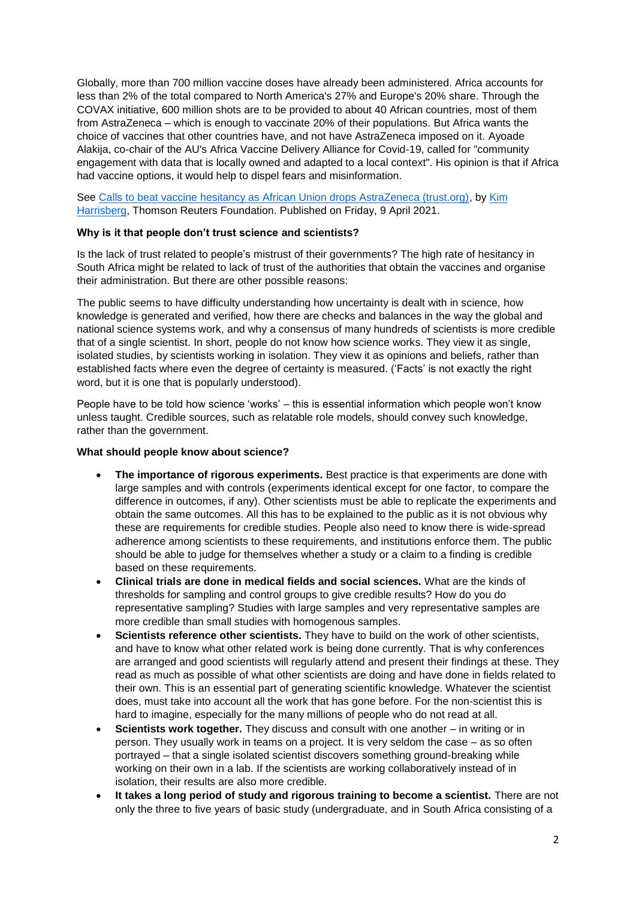Globally, more than 700 million vaccine doses have already been administered. Africa accounts for less than 2% of the total compared to North America's 27% and Europe's 20% share. Through the COVAX initiative, 600 million shots are to be provided to about 40 African countries, most of them from AstraZeneca – which is enough to vaccinate 20% of their populations. But Africa wants the choice of vaccines that other countries have, and not have AstraZeneca imposed on it. Ayoade Alakija, co-chair of the AU's Africa Vaccine Delivery Alliance for Covid-19, called for "community engagement with data that is locally owned and adapted to a local context". His opinion is that if Africa had vaccine options, it would help to dispel fears and misinformation.

See [Calls to beat vaccine hesitancy as African Union drops AstraZeneca \(trust.org\),](https://news.trust.org/item/20210409172034-tdapu/) by [Kim](https://news.trust.org/profile/?id=003D0000029sF0DIAU)  [Harrisberg,](https://news.trust.org/profile/?id=003D0000029sF0DIAU) Thomson Reuters Foundation. Published on Friday, 9 April 2021.

#### **Why is it that people don't trust science and scientists?**

Is the lack of trust related to people's mistrust of their governments? The high rate of hesitancy in South Africa might be related to lack of trust of the authorities that obtain the vaccines and organise their administration. But there are other possible reasons:

The public seems to have difficulty understanding how uncertainty is dealt with in science, how knowledge is generated and verified, how there are checks and balances in the way the global and national science systems work, and why a consensus of many hundreds of scientists is more credible that of a single scientist. In short, people do not know how science works. They view it as single, isolated studies, by scientists working in isolation. They view it as opinions and beliefs, rather than established facts where even the degree of certainty is measured. ('Facts' is not exactly the right word, but it is one that is popularly understood).

People have to be told how science 'works' – this is essential information which people won't know unless taught. Credible sources, such as relatable role models, should convey such knowledge, rather than the government.

#### **What should people know about science?**

- **The importance of rigorous experiments.** Best practice is that experiments are done with large samples and with controls (experiments identical except for one factor, to compare the difference in outcomes, if any). Other scientists must be able to replicate the experiments and obtain the same outcomes. All this has to be explained to the public as it is not obvious why these are requirements for credible studies. People also need to know there is wide-spread adherence among scientists to these requirements, and institutions enforce them. The public should be able to judge for themselves whether a study or a claim to a finding is credible based on these requirements.
- **Clinical trials are done in medical fields and social sciences.** What are the kinds of thresholds for sampling and control groups to give credible results? How do you do representative sampling? Studies with large samples and very representative samples are more credible than small studies with homogenous samples.
- **Scientists reference other scientists.** They have to build on the work of other scientists, and have to know what other related work is being done currently. That is why conferences are arranged and good scientists will regularly attend and present their findings at these. They read as much as possible of what other scientists are doing and have done in fields related to their own. This is an essential part of generating scientific knowledge. Whatever the scientist does, must take into account all the work that has gone before. For the non-scientist this is hard to imagine, especially for the many millions of people who do not read at all.
- **Scientists work together.** They discuss and consult with one another in writing or in person. They usually work in teams on a project. It is very seldom the case – as so often portrayed – that a single isolated scientist discovers something ground-breaking while working on their own in a lab. If the scientists are working collaboratively instead of in isolation, their results are also more credible.
- **It takes a long period of study and rigorous training to become a scientist.** There are not only the three to five years of basic study (undergraduate, and in South Africa consisting of a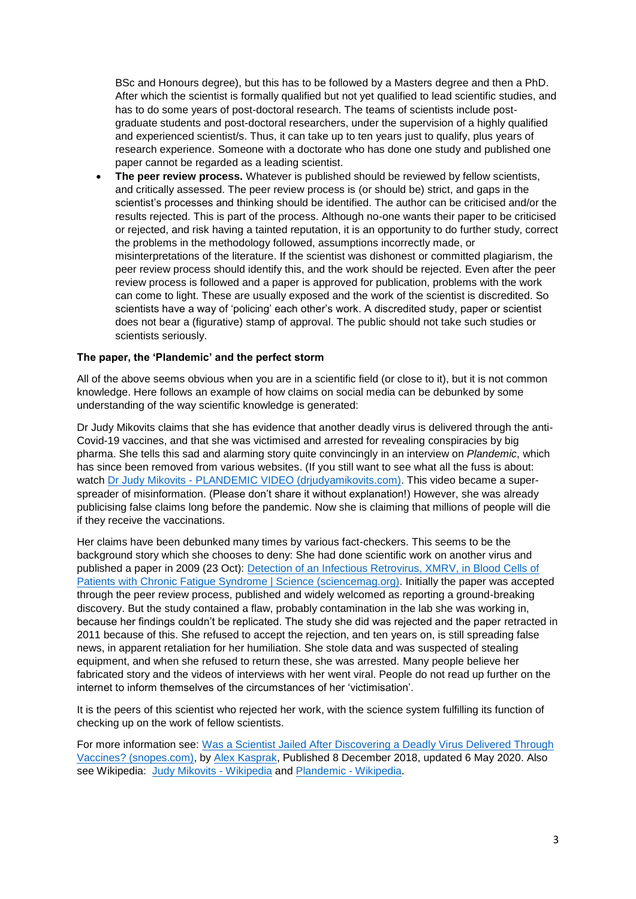BSc and Honours degree), but this has to be followed by a Masters degree and then a PhD. After which the scientist is formally qualified but not yet qualified to lead scientific studies, and has to do some years of post-doctoral research. The teams of scientists include postgraduate students and post-doctoral researchers, under the supervision of a highly qualified and experienced scientist/s. Thus, it can take up to ten years just to qualify, plus years of research experience. Someone with a doctorate who has done one study and published one paper cannot be regarded as a leading scientist.

 **The peer review process.** Whatever is published should be reviewed by fellow scientists, and critically assessed. The peer review process is (or should be) strict, and gaps in the scientist's processes and thinking should be identified. The author can be criticised and/or the results rejected. This is part of the process. Although no-one wants their paper to be criticised or rejected, and risk having a tainted reputation, it is an opportunity to do further study, correct the problems in the methodology followed, assumptions incorrectly made, or misinterpretations of the literature. If the scientist was dishonest or committed plagiarism, the peer review process should identify this, and the work should be rejected. Even after the peer review process is followed and a paper is approved for publication, problems with the work can come to light. These are usually exposed and the work of the scientist is discredited. So scientists have a way of 'policing' each other's work. A discredited study, paper or scientist does not bear a (figurative) stamp of approval. The public should not take such studies or scientists seriously.

#### **The paper, the 'Plandemic' and the perfect storm**

All of the above seems obvious when you are in a scientific field (or close to it), but it is not common knowledge. Here follows an example of how claims on social media can be debunked by some understanding of the way scientific knowledge is generated:

Dr Judy Mikovits claims that she has evidence that another deadly virus is delivered through the anti-Covid-19 vaccines, and that she was victimised and arrested for revealing conspiracies by big pharma. She tells this sad and alarming story quite convincingly in an interview on *Plandemic*, which has since been removed from various websites. (If you still want to see what all the fuss is about: watch Dr Judy Mikovits - [PLANDEMIC VIDEO \(drjudyamikovits.com\).](https://drjudyamikovits.com/) This video became a superspreader of misinformation. (Please don't share it without explanation!) However, she was already publicising false claims long before the pandemic. Now she is claiming that millions of people will die if they receive the vaccinations.

Her claims have been debunked many times by various fact-checkers. This seems to be the background story which she chooses to deny: She had done scientific work on another virus and published a paper in 2009 (23 Oct): [Detection of an Infectious Retrovirus, XMRV, in Blood Cells of](https://science.sciencemag.org/content/326/5952/585.long)  [Patients with Chronic Fatigue Syndrome | Science \(sciencemag.org\).](https://science.sciencemag.org/content/326/5952/585.long) Initially the paper was accepted through the peer review process, published and widely welcomed as reporting a ground-breaking discovery. But the study contained a flaw, probably contamination in the lab she was working in, because her findings couldn't be replicated. The study she did was rejected and the paper retracted in 2011 because of this. She refused to accept the rejection, and ten years on, is still spreading false news, in apparent retaliation for her humiliation. She stole data and was suspected of stealing equipment, and when she refused to return these, she was arrested. Many people believe her fabricated story and the videos of interviews with her went viral. People do not read up further on the internet to inform themselves of the circumstances of her 'victimisation'.

It is the peers of this scientist who rejected her work, with the science system fulfilling its function of checking up on the work of fellow scientists.

For more information see: Was a Scientist Jailed After Discovering a Deadly Virus Delivered Through [Vaccines? \(snopes.com\),](https://www.snopes.com/fact-check/scientist-vaccine-jailed/) by [Alex Kasprak,](https://www.snopes.com/author/alex/) Published 8 December 2018, updated 6 May 2020. Also see Wikipedia: [Judy Mikovits -](https://en.wikipedia.org/wiki/Judy_Mikovits) Wikipedia and [Plandemic -](https://en.wikipedia.org/wiki/Plandemic) Wikipedia.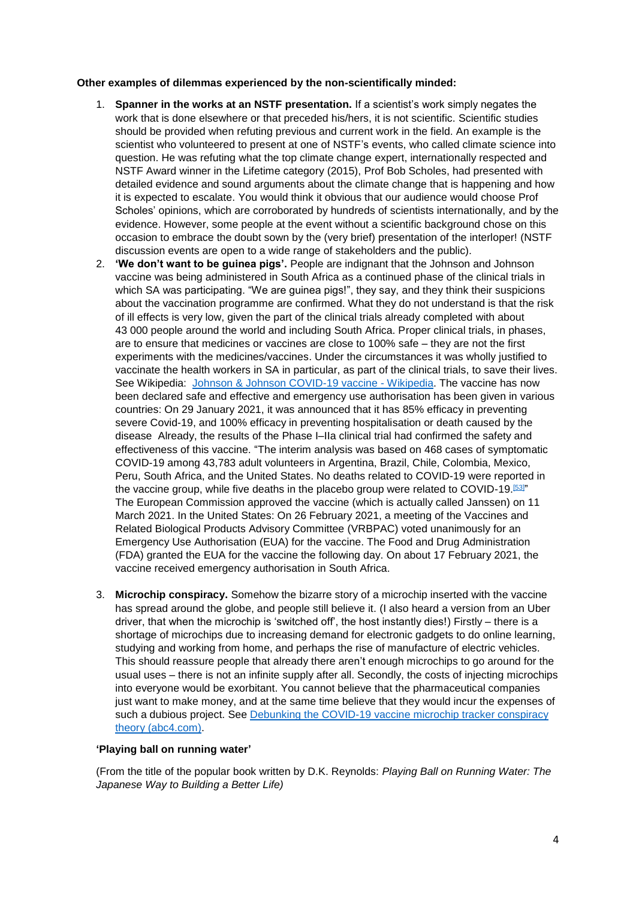#### **Other examples of dilemmas experienced by the non-scientifically minded:**

- 1. **Spanner in the works at an NSTF presentation.** If a scientist's work simply negates the work that is done elsewhere or that preceded his/hers, it is not scientific. Scientific studies should be provided when refuting previous and current work in the field. An example is the scientist who volunteered to present at one of NSTF's events, who called climate science into question. He was refuting what the top climate change expert, internationally respected and NSTF Award winner in the Lifetime category (2015), Prof Bob Scholes, had presented with detailed evidence and sound arguments about the climate change that is happening and how it is expected to escalate. You would think it obvious that our audience would choose Prof Scholes' opinions, which are corroborated by hundreds of scientists internationally, and by the evidence. However, some people at the event without a scientific background chose on this occasion to embrace the doubt sown by the (very brief) presentation of the interloper! (NSTF discussion events are open to a wide range of stakeholders and the public).
- 2. **'We don't want to be guinea pigs'.** People are indignant that the Johnson and Johnson vaccine was being administered in South Africa as a continued phase of the clinical trials in which SA was participating. "We are guinea pigs!", they say, and they think their suspicions about the vaccination programme are confirmed. What they do not understand is that the risk of ill effects is very low, given the part of the clinical trials already completed with about 43 000 people around the world and including South Africa. Proper clinical trials, in phases, are to ensure that medicines or vaccines are close to 100% safe – they are not the first experiments with the medicines/vaccines. Under the circumstances it was wholly justified to vaccinate the health workers in SA in particular, as part of the clinical trials, to save their lives. See Wikipedia: [Johnson & Johnson COVID-19 vaccine -](https://en.wikipedia.org/wiki/Johnson_%26_Johnson_COVID-19_vaccine) Wikipedia. The vaccine has now been declared safe and effective and emergency use authorisation has been given in various countries: On 29 January 2021, it was announced that it has 85% efficacy in preventing severe Covid-19, and 100% efficacy in preventing hospitalisation or death caused by the disease Already, the results of the Phase I–IIa clinical trial had confirmed the safety and effectiveness of this vaccine. "The interim analysis was based on 468 cases of symptomatic COVID-19 among 43,783 adult volunteers in Argentina, Brazil, Chile, Colombia, Mexico, Peru, South Africa, and the United States. No deaths related to COVID-19 were reported in the vaccine group, while five deaths in the placebo group were related to COVID-19.<sup>[\[53\]](https://en.wikipedia.org/wiki/Johnson_%26_Johnson_COVID-19_vaccine#cite_note-jnj_29Jan2021-53)"</sup> The European Commission approved the vaccine (which is actually called Janssen) on 11 March 2021. In the United States: On 26 February 2021, a meeting of the Vaccines and Related Biological Products Advisory Committee (VRBPAC) voted unanimously for an Emergency Use Authorisation (EUA) for the vaccine. The Food and Drug Administration (FDA) granted the EUA for the vaccine the following day. On about 17 February 2021, the vaccine received emergency authorisation in South Africa.
- 3. **Microchip conspiracy.** Somehow the bizarre story of a microchip inserted with the vaccine has spread around the globe, and people still believe it. (I also heard a version from an Uber driver, that when the microchip is 'switched off', the host instantly dies!) Firstly – there is a shortage of microchips due to increasing demand for electronic gadgets to do online learning, studying and working from home, and perhaps the rise of manufacture of electric vehicles. This should reassure people that already there aren't enough microchips to go around for the usual uses – there is not an infinite supply after all. Secondly, the costs of injecting microchips into everyone would be exorbitant. You cannot believe that the pharmaceutical companies just want to make money, and at the same time believe that they would incur the expenses of such a dubious project. See [Debunking the COVID-19 vaccine microchip tracker conspiracy](https://www.abc4.com/news/digital-exclusives/no-covid-19-vaccine-patients-are-not-being-injected-with-a-microchip/)  [theory \(abc4.com\).](https://www.abc4.com/news/digital-exclusives/no-covid-19-vaccine-patients-are-not-being-injected-with-a-microchip/)

#### **'Playing ball on running water'**

(From the title of the popular book written by D.K. Reynolds: *Playing Ball on Running Water: The Japanese Way to Building a Better Life)*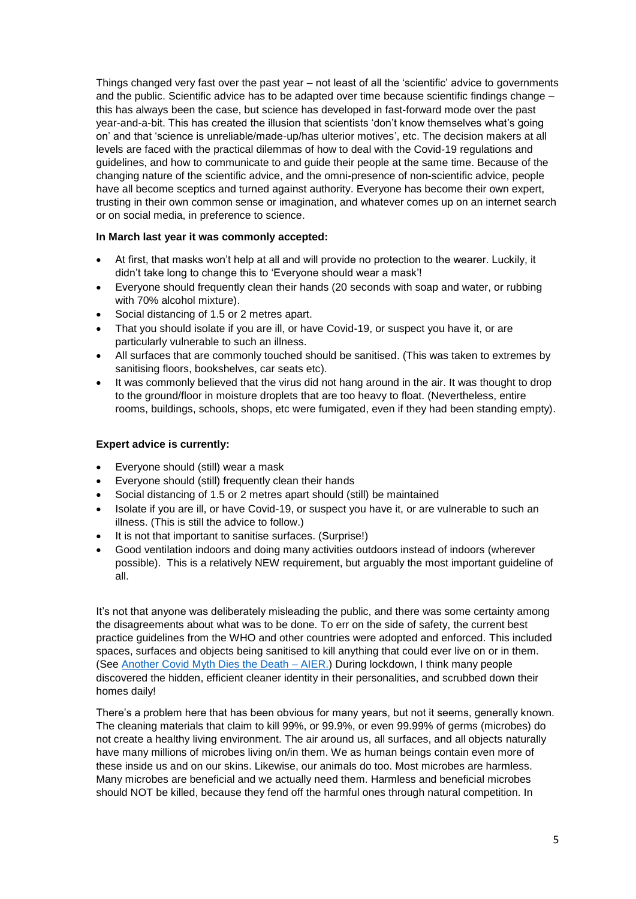Things changed very fast over the past year – not least of all the 'scientific' advice to governments and the public. Scientific advice has to be adapted over time because scientific findings change – this has always been the case, but science has developed in fast-forward mode over the past year-and-a-bit. This has created the illusion that scientists 'don't know themselves what's going on' and that 'science is unreliable/made-up/has ulterior motives', etc. The decision makers at all levels are faced with the practical dilemmas of how to deal with the Covid-19 regulations and guidelines, and how to communicate to and guide their people at the same time. Because of the changing nature of the scientific advice, and the omni-presence of non-scientific advice, people have all become sceptics and turned against authority. Everyone has become their own expert, trusting in their own common sense or imagination, and whatever comes up on an internet search or on social media, in preference to science.

### **In March last year it was commonly accepted:**

- At first, that masks won't help at all and will provide no protection to the wearer. Luckily, it didn't take long to change this to 'Everyone should wear a mask'!
- Everyone should frequently clean their hands (20 seconds with soap and water, or rubbing with 70% alcohol mixture).
- Social distancing of 1.5 or 2 metres apart.
- That you should isolate if you are ill, or have Covid-19, or suspect you have it, or are particularly vulnerable to such an illness.
- All surfaces that are commonly touched should be sanitised. (This was taken to extremes by sanitising floors, bookshelves, car seats etc).
- It was commonly believed that the virus did not hang around in the air. It was thought to drop to the ground/floor in moisture droplets that are too heavy to float. (Nevertheless, entire rooms, buildings, schools, shops, etc were fumigated, even if they had been standing empty).

### **Expert advice is currently:**

- Everyone should (still) wear a mask
- Everyone should (still) frequently clean their hands
- Social distancing of 1.5 or 2 metres apart should (still) be maintained
- Isolate if you are ill, or have Covid-19, or suspect you have it, or are vulnerable to such an illness. (This is still the advice to follow.)
- It is not that important to sanitise surfaces. (Surprise!)
- Good ventilation indoors and doing many activities outdoors instead of indoors (wherever possible). This is a relatively NEW requirement, but arguably the most important guideline of all.

It's not that anyone was deliberately misleading the public, and there was some certainty among the disagreements about what was to be done. To err on the side of safety, the current best practice guidelines from the WHO and other countries were adopted and enforced. This included spaces, surfaces and objects being sanitised to kill anything that could ever live on or in them. (See [Another Covid Myth Dies the Death –](https://www.aier.org/article/another-covid-myth-dies-the-death/) AIER.) During lockdown, I think many people discovered the hidden, efficient cleaner identity in their personalities, and scrubbed down their homes daily!

There's a problem here that has been obvious for many years, but not it seems, generally known. The cleaning materials that claim to kill 99%, or 99.9%, or even 99.99% of germs (microbes) do not create a healthy living environment. The air around us, all surfaces, and all objects naturally have many millions of microbes living on/in them. We as human beings contain even more of these inside us and on our skins. Likewise, our animals do too. Most microbes are harmless. Many microbes are beneficial and we actually need them. Harmless and beneficial microbes should NOT be killed, because they fend off the harmful ones through natural competition. In